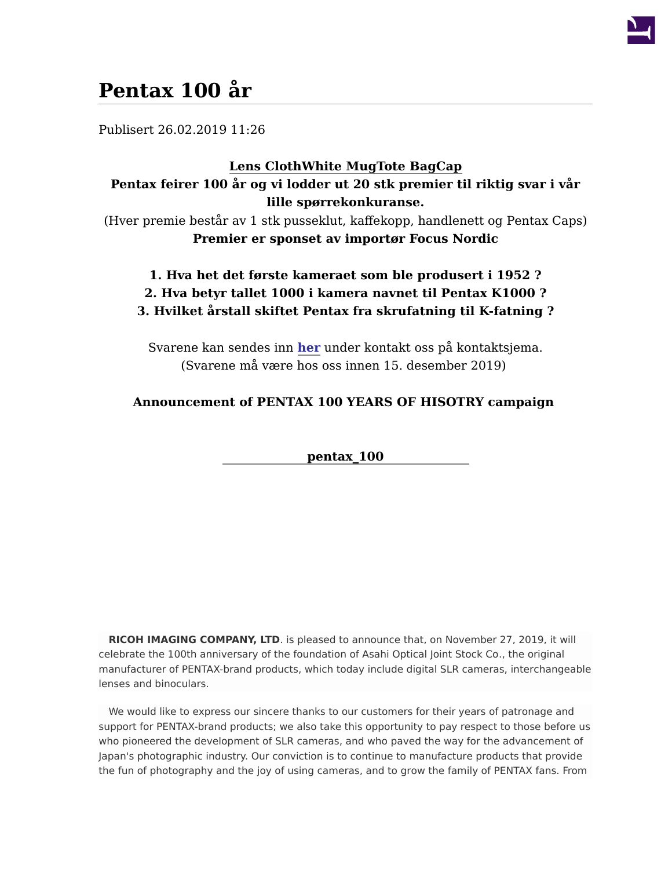

## **Pentax 100 år**

Publisert 26.02.2019 11:26

## **[Lens Cloth](http://fovi.no/file/thumb/file/9/956152&width=886&height=620&zwidth=886&zheight=620&x=443&y=310.png)[White Mug](http://fovi.no/file/thumb/file/9/956153&width=817&height=735&zwidth=817&zheight=735&x=409&y=368.png)[Tote Bag](http://fovi.no/file/thumb/file/9/956154&width=421&height=754&zwidth=421&zheight=754&x=211&y=379.png)[Cap](http://fovi.no/file/thumb/file/9/956155&width=622&height=549&zwidth=622&zheight=549&x=311&y=275.png) Pentax feirer 100 år og vi lodder ut 20 stk premier til riktig svar i vår lille spørrekonkuranse.**

(Hver premie består av 1 stk pusseklut, kaffekopp, handlenett og Pentax Caps) **Premier er sponset av importør Focus Nordic**

## **1. Hva het det første kameraet som ble produsert i 1952 ? 2. Hva betyr tallet 1000 i kamera navnet til Pentax K1000 ? 3. Hvilket årstall skiftet Pentax fra skrufatning til K-fatning ?**

Svarene kan sendes inn **[her](http://fovi.no/contact)** under kontakt oss på kontaktsjema. (Svarene må være hos oss innen 15. desember 2019)

## **Announcement of PENTAX 100 YEARS OF HISOTRY campaign**

**[pentax\\_100](/file/thumb/file/9/941550&width=382&height=241&zwidth=382&zheight=241&x=191&y=121.jpg)**

**RICOH IMAGING COMPANY, LTD**. is pleased to announce that, on November 27, 2019, it will celebrate the 100th anniversary of the foundation of Asahi Optical Joint Stock Co., the original manufacturer of PENTAX-brand products, which today include digital SLR cameras, interchangeable lenses and binoculars.

We would like to express our sincere thanks to our customers for their years of patronage and support for PENTAX-brand products; we also take this opportunity to pay respect to those before us who pioneered the development of SLR cameras, and who paved the way for the advancement of Japan's photographic industry. Our conviction is to continue to manufacture products that provide the fun of photography and the joy of using cameras, and to grow the family of PENTAX fans. From